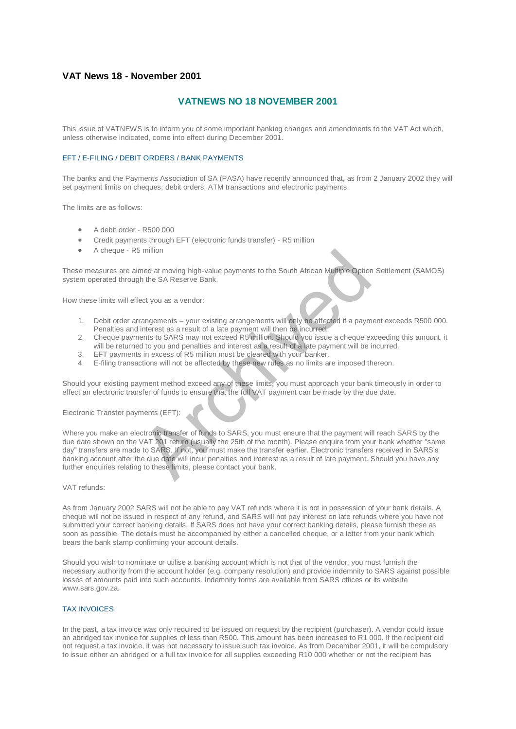# **VAT News 18 - November 2001**

# **VATNEWS NO 18 NOVEMBER 2001**

This issue of VATNEWS is to inform you of some important banking changes and amendments to the VAT Act which, unless otherwise indicated, come into effect during December 2001.

## EFT / E-FILING / DEBIT ORDERS / BANK PAYMENTS

The banks and the Payments Association of SA (PASA) have recently announced that, as from 2 January 2002 they will set payment limits on cheques, debit orders, ATM transactions and electronic payments.

The limits are as follows:

- A debit order R500 000
- Credit payments through EFT (electronic funds transfer) R5 million
- A cheque R5 million

These measures are aimed at moving high-value payments to the South African Multiple Option Settlement (SAMOS) system operated through the SA Reserve Bank.

How these limits will effect you as a vendor:

- 1. Debit order arrangements your existing arrangements will only be affected if a payment exceeds R500 000. Penalties and interest as a result of a late payment will then be incurred.
- 2. Cheque payments to SARS may not exceed R5 million. Should you issue a cheque exceeding this amount, it will be returned to you and penalties and interest as a result of a late payment will be incurred.
- 3. EFT payments in excess of R5 million must be cleared with your banker.
- 4. E-filing transactions will not be affected by these new rules as no limits are imposed thereon.

Should your existing payment method exceed any of these limits, you must approach your bank timeously in order to effect an electronic transfer of funds to ensure that the full VAT payment can be made by the due date.

Electronic Transfer payments (EFT):

Where you make an electronic transfer of funds to SARS, you must ensure that the payment will reach SARS by the due date shown on the VAT 201 return (usually the 25th of the month). Please enquire from your bank whether "same day" transfers are made to SARS. If not, you must make the transfer earlier. Electronic transfers received in SARS's banking account after the due date will incur penalties and interest as a result of late payment. Should you have any further enquiries relating to these limits, please contact your bank. Solution<br>
and at moving high-value payments to the South African Multiple Option<br>
the SA Reserve Bank.<br>
ect you as a vendor:<br>
rangements – your existing arrangements will only be affected if a paym<br>
interest as a result of

## VAT refunds:

As from January 2002 SARS will not be able to pay VAT refunds where it is not in possession of your bank details. A cheque will not be issued in respect of any refund, and SARS will not pay interest on late refunds where you have not submitted your correct banking details. If SARS does not have your correct banking details, please furnish these as soon as possible. The details must be accompanied by either a cancelled cheque, or a letter from your bank which bears the bank stamp confirming your account details.

Should you wish to nominate or utilise a banking account which is not that of the vendor, you must furnish the necessary authority from the account holder (e.g. company resolution) and provide indemnity to SARS against possible losses of amounts paid into such accounts. Indemnity forms are available from SARS offices or its website www.sars.gov.za.

#### TAX INVOICES

In the past, a tax invoice was only required to be issued on request by the recipient (purchaser). A vendor could issue an abridged tax invoice for supplies of less than R500. This amount has been increased to R1 000. If the recipient did not request a tax invoice, it was not necessary to issue such tax invoice. As from December 2001, it will be compulsory to issue either an abridged or a full tax invoice for all supplies exceeding R10 000 whether or not the recipient has